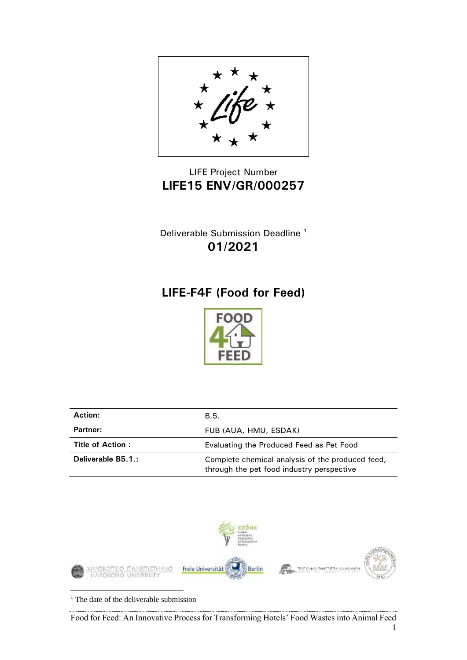

## LIFE Project Number **LIFE15 ENV/GR/000257**

Deliverable Submission Deadline<sup>1</sup> **01/2021**

# **LIFE-F4F (Food for Feed)**



| <b>Action:</b>     | B.5.                                                                                          |
|--------------------|-----------------------------------------------------------------------------------------------|
| Partner:           | FUB (AUA, HMU, ESDAK)                                                                         |
| Title of Action:   | Evaluating the Produced Feed as Pet Food                                                      |
| Deliverable B5.1.: | Complete chemical analysis of the produced feed,<br>through the pet food industry perspective |



<sup>1</sup> The date of the deliverable submission

Food for Feed: An Innovative Process for Transforming Hotels' Food Wastes into Animal Feed 1